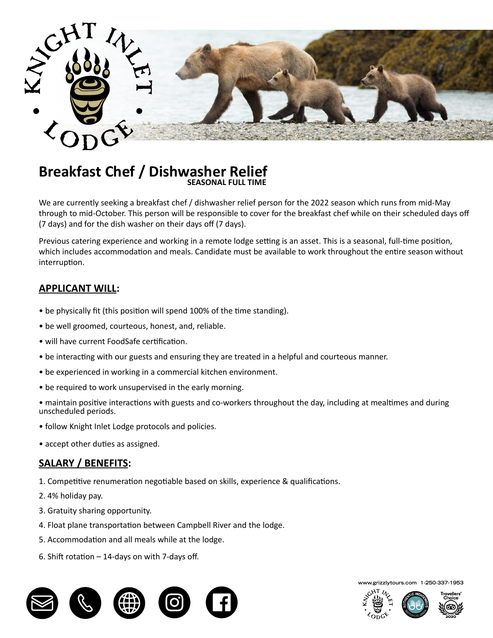

## **Breakfast Chef / Dishwasher Relief EXECUTE 2** SEASONAL FULL TIME

We are currently seeking a breakfast chef / dishwasher relief person for the 2022 season which runs from mid-May through to mid-October. This person will be responsible to cover for the breakfast chef while on their scheduled days off (7 days) and for the dish washer on their days off (7 days).

Previous catering experience and working in a remote lodge setting is an asset. This is a seasonal, full-time position, which includes accommodation and meals. Candidate must be available to work throughout the entire season without interruption.

## **APPLICANT WILL:**

- be physically fit (this position will spend 100% of the time standing).
- be well groomed, courteous, honest, and, reliable. **All and the 2022 season which runs from mid-May through to mid-**
- breakfast buffet of hot and continental items as well as  $\alpha$  items as  $\alpha$  larger and cooking eggs station, cooking eggs station, cooking eggs station, cooking eggs station, cooking eggs station, cooking eggs station, co • will have current FoodSafe certification.
- $m_{\rm F}$  requiring thousand control in a hole ful and sourteous manner. • be interacting with our guests and ensuring they are treated in a helpful and courteous manner.  $\mathsf{n}$ anner. Items as well as  $\mathsf{n}$
- be experienced in working in a commercial kitchen environment.
- be required to work unsupervised in the early morning.
- maintain positive interactions with guests and co-workers throughout the day, including at mealtimes and during unscheduled periods.
- follow Knight Inlet Lodge protocols and policies.
- accept other duties as assigned.

## **SALARY / BENEFITS:**

- 1. Competitive renumeration negotiable based on skills, experience & qualifications.
- 2. 4% holiday pay.
- 3. Gratuity sharing opportunity.
- 4. Float plane transportation between Campbell River and the lodge.
- 5. Accommodation and all meals while at the lodge.
- 6. Shift rotation 14-days on with 7-days off.



**www.grizzlytours.com 1-250-337-1953**